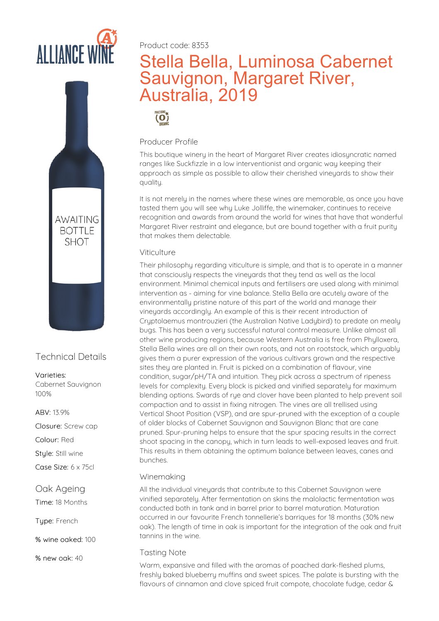

Product code: 8353

# Stella Bella, Luminosa Cabernet Sauvignon, Margaret River, Australia, 2019

PRACTISING

## Producer Profile

This boutique winery in the heart of Margaret River creates idiosyncratic named ranges like Suckfizzle in a low interventionist and organic way keeping their approach as simple as possible to allow their cherished vineyards to show their quality.

It is not merely in the names where these wines are memorable, as once you have tasted them you will see why Luke Jolliffe, the winemaker, continues to receive recognition and awards from around the world for wines that have that wonderful Margaret River restraint and elegance, but are bound together with a fruit purity that makes them delectable.

### Viticulture

Their philosophy regarding viticulture is simple, and that is to operate in a manner that consciously respects the vineyards that they tend as well as the local environment. Minimal chemical inputs and fertilisers are used along with minimal intervention as - aiming for vine balance. Stella Bella are acutely aware of the environmentally pristine nature of this part of the world and manage their vineyards accordingly. An example of this is their recent introduction of Cryptolaemus montrouzieri (the Australian Native Ladybird) to predate on mealy bugs. This has been a very successful natural control measure. Unlike almost all other wine producing regions, because Western Australia is free from Phylloxera, Stella Bella wines are all on their own roots, and not on rootstock, which arguably gives them a purer expression of the various cultivars grown and the respective sites they are planted in. Fruit is picked on a combination of flavour, vine condition, sugar/pH/TA and intuition. They pick across a spectrum of ripeness levels for complexity. Every block is picked and vinified separately for maximum blending options. Swards of rue and clover have been planted to help prevent soil compaction and to assist in fixing nitrogen. The vines are all trellised using Vertical Shoot Position (VSP), and are spur-pruned with the exception of a couple of older blocks of Cabernet Sauvignon and Sauvignon Blanc that are cane pruned. Spur-pruning helps toensure that the spur spacing results inthe correct shoot spacing in the canopy, which in turn leads to well-exposed leaves and fruit.<br>This results in them obtaining the optimum balance between leaves, canes and bunches.

#### Winemaking

All the individual vineyards that contribute to this Cabernet Sauvignon were vinified separately. After fermentation on skins the malolactic fermentation was conducted both in tank and in barrel prior to barrel maturation. Maturation occurred in our favourite French tonnellerie's barriques for 18 months (30% new oak). The length of time in oak is important for the integration of the oak and fruit tannins in the wine.

#### Tasting Note

Warm, expansive and filled with the aromas of poached dark-fleshed plums, freshly baked blueberry muffins and sweet spices. The palate is bursting with the flavours of cinnamon and clove spiced fruit compote, chocolate fudge, cedar &



# Technical Details

Varieties: Cabernet Sauvignon 100%

ABV: 13.9%

Closure: Screw cap

Colour: Red

Stule: Still wine

Case Size: 6 x 75cl

# Oak Ageing

Time: 18 Months

Type: French

% wine oaked: 100

% new oak: 40